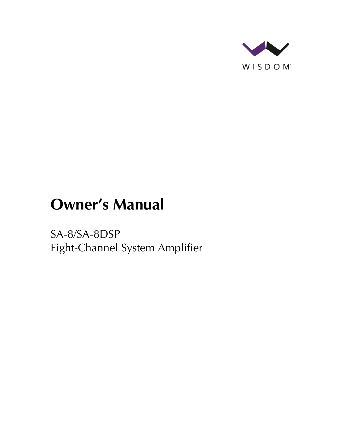

# **Owner's Manual**

SA-8/SA-8DSP Eight-Channel System Amplifier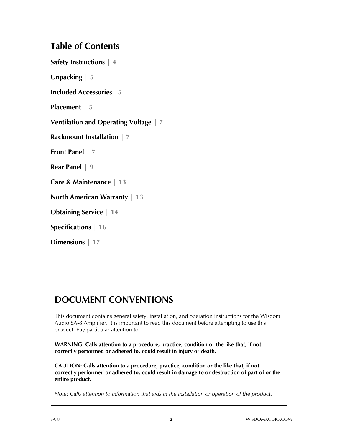## **Table of Contents**

**Safety Instructions | 4**

**Unpacking | 5**

**Included Accessories |5**

**Placement | 5**

**Ventilation and Operating Voltage | 7**

**Rackmount Installation | 7**

**Front Panel | 7**

**Rear Panel | 9**

**Care & Maintenance | 13**

**North American Warranty | 13**

**Obtaining Service | 14**

**Specifications | 16**

**Dimensions | 17**

# **DOCUMENT CONVENTIONS**

This document contains general safety, installation, and operation instructions for the Wisdom Audio SA-8 Amplifier. It is important to read this document before attempting to use this product. Pay particular attention to:

**WARNING: Calls attention to a procedure, practice, condition or the like that, if not correctly performed or adhered to, could result in injury or death.** 

**CAUTION: Calls attention to a procedure, practice, condition or the like that, if not correctly performed or adhered to, could result in damage to or destruction of part of or the entire product.** 

*Note: Calls attention to information that aids in the installation or operation of the product.*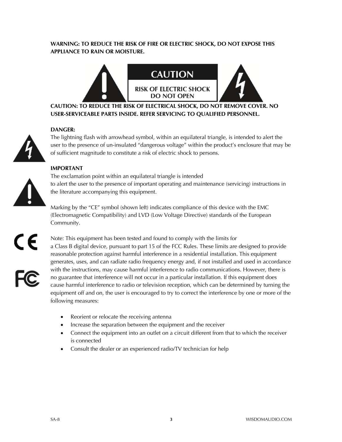#### **WARNING: TO REDUCE THE RISK OF FIRE OR ELECTRIC SHOCK, DO NOT EXPOSE THIS APPLIANCE TO RAIN OR MOISTURE.**



**CAUTION: TO REDUCE THE RISK OF ELECTRICAL SHOCK, DO NOT REMOVE COVER. NO USER-SERVICEABLE PARTS INSIDE. REFER SERVICING TO QUALIFIED PERSONNEL.** 

#### **DANGER:**



The lightning flash with arrowhead symbol, within an equilateral triangle, is intended to alert the user to the presence of un-insulated "dangerous voltage" within the product's enclosure that may be of sufficient magnitude to constitute a risk of electric shock to persons.

#### **IMPORTANT**

The exclamation point within an equilateral triangle is intended to alert the user to the presence of important operating and maintenance (servicing) instructions in the literature accompanying this equipment.

Marking by the "CE" symbol (shown left) indicates compliance of this device with the EMC (Electromagnetic Compatibility) and LVD (Low Voltage Directive) standards of the European Community.

a Class B digital device, pursuant to part 15 of the FCC Rules. These limits are designed to provide



reasonable protection against harmful interference in a residential installation. This equipment generates, uses, and can radiate radio frequency energy and, if not installed and used in accordance with the instructions, may cause harmful interference to radio communications. However, there is no guarantee that interference will not occur in a particular installation. If this equipment does cause harmful interference to radio or television reception, which can be determined by turning the equipment off and on, the user is encouraged to try to correct the interference by one or more of the following measures:

- Reorient or relocate the receiving antenna
- Increase the separation between the equipment and the receiver

Note: This equipment has been tested and found to comply with the limits for

- Connect the equipment into an outlet on a circuit different from that to which the receiver is connected
- Consult the dealer or an experienced radio/TV technician for help

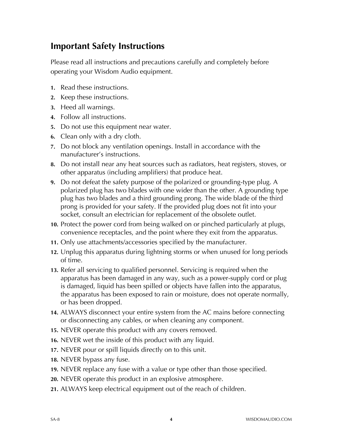## **Important Safety Instructions**

Please read all instructions and precautions carefully and completely before operating your Wisdom Audio equipment.

- **1.** Read these instructions.
- **2.** Keep these instructions.
- **3.** Heed all warnings.
- **4.** Follow all instructions.
- **5.** Do not use this equipment near water.
- **6.** Clean only with a dry cloth.
- **7.** Do not block any ventilation openings. Install in accordance with the manufacturer's instructions.
- **8.** Do not install near any heat sources such as radiators, heat registers, stoves, or other apparatus (including amplifiers) that produce heat.
- **9.** Do not defeat the safety purpose of the polarized or grounding-type plug. A polarized plug has two blades with one wider than the other. A grounding type plug has two blades and a third grounding prong. The wide blade of the third prong is provided for your safety. If the provided plug does not fit into your socket, consult an electrician for replacement of the obsolete outlet.
- **10.** Protect the power cord from being walked on or pinched particularly at plugs, convenience receptacles, and the point where they exit from the apparatus.
- **11.** Only use attachments/accessories specified by the manufacturer.
- **12.** Unplug this apparatus during lightning storms or when unused for long periods of time.
- **13.** Refer all servicing to qualified personnel. Servicing is required when the apparatus has been damaged in any way, such as a power-supply cord or plug is damaged, liquid has been spilled or objects have fallen into the apparatus, the apparatus has been exposed to rain or moisture, does not operate normally, or has been dropped.
- **14.** ALWAYS disconnect your entire system from the AC mains before connecting or disconnecting any cables, or when cleaning any component.
- **15.** NEVER operate this product with any covers removed.
- **16.** NEVER wet the inside of this product with any liquid.
- **17.** NEVER pour or spill liquids directly on to this unit.
- **18.** NEVER bypass any fuse.
- **19.** NEVER replace any fuse with a value or type other than those specified.
- **20.** NEVER operate this product in an explosive atmosphere.
- **21.** ALWAYS keep electrical equipment out of the reach of children.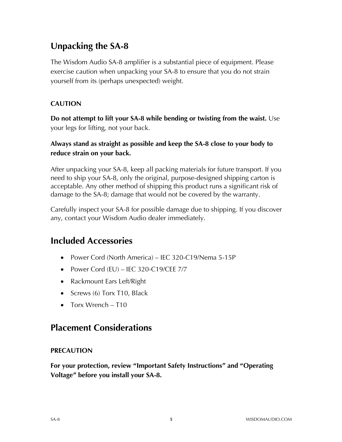# **Unpacking the SA-8**

The Wisdom Audio SA-8 amplifier is a substantial piece of equipment. Please exercise caution when unpacking your SA-8 to ensure that you do not strain yourself from its (perhaps unexpected) weight.

### **CAUTION**

**Do not attempt to lift your SA-8 while bending or twisting from the waist.** Use your legs for lifting, not your back.

### **Always stand as straight as possible and keep the SA-8 close to your body to reduce strain on your back.**

After unpacking your SA-8, keep all packing materials for future transport. If you need to ship your SA-8, only the original, purpose-designed shipping carton is acceptable. Any other method of shipping this product runs a significant risk of damage to the SA-8; damage that would not be covered by the warranty.

Carefully inspect your SA-8 for possible damage due to shipping. If you discover any, contact your Wisdom Audio dealer immediately.

## **Included Accessories**

- Power Cord (North America) IEC 320-C19/Nema 5-15P
- Power Cord (EU) IEC 320-C19/CEE 7/7
- Rackmount Ears Left/Right
- Screws (6) Torx T10, Black
- Torx Wrench T10

## **Placement Considerations**

### **PRECAUTION**

**For your protection, review "Important Safety Instructions" and "Operating Voltage" before you install your SA-8.**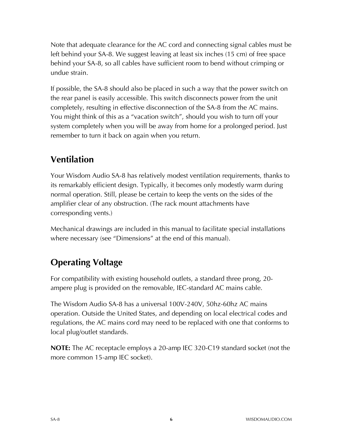Note that adequate clearance for the AC cord and connecting signal cables must be left behind your SA-8. We suggest leaving at least six inches (15 cm) of free space behind your SA-8, so all cables have sufficient room to bend without crimping or undue strain.

If possible, the SA-8 should also be placed in such a way that the power switch on the rear panel is easily accessible. This switch disconnects power from the unit completely, resulting in effective disconnection of the SA-8 from the AC mains. You might think of this as a "vacation switch", should you wish to turn off your system completely when you will be away from home for a prolonged period. Just remember to turn it back on again when you return.

# **Ventilation**

Your Wisdom Audio SA-8 has relatively modest ventilation requirements, thanks to its remarkably efficient design. Typically, it becomes only modestly warm during normal operation. Still, please be certain to keep the vents on the sides of the amplifier clear of any obstruction. (The rack mount attachments have corresponding vents.)

Mechanical drawings are included in this manual to facilitate special installations where necessary (see "Dimensions" at the end of this manual).

# **Operating Voltage**

For compatibility with existing household outlets, a standard three prong, 20 ampere plug is provided on the removable, IEC-standard AC mains cable.

The Wisdom Audio SA-8 has a universal 100V-240V, 50hz-60hz AC mains operation. Outside the United States, and depending on local electrical codes and regulations, the AC mains cord may need to be replaced with one that conforms to local plug/outlet standards.

**NOTE:** The AC receptacle employs a 20-amp IEC 320-C19 standard socket (not the more common 15-amp IEC socket).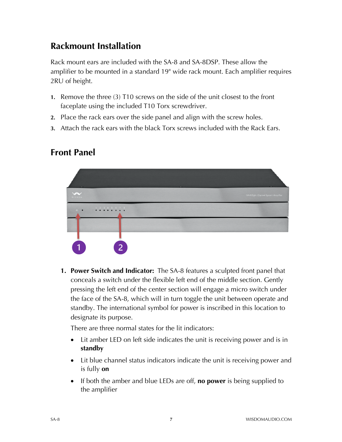# **Rackmount Installation**

Rack mount ears are included with the SA-8 and SA-8DSP. These allow the amplifier to be mounted in a standard 19" wide rack mount. Each amplifier requires 2RU of height.

- **1.** Remove the three (3) T10 screws on the side of the unit closest to the front faceplate using the included T10 Torx screwdriver.
- **2.** Place the rack ears over the side panel and align with the screw holes.
- **3.** Attach the rack ears with the black Torx screws included with the Rack Ears.

# **Front Panel**



**1. Power Switch and Indicator:** The SA-8 features a sculpted front panel that conceals a switch under the flexible left end of the middle section. Gently pressing the left end of the center section will engage a micro switch under the face of the SA-8, which will in turn toggle the unit between operate and standby. The international symbol for power is inscribed in this location to designate its purpose.

There are three normal states for the lit indicators:

- Lit amber LED on left side indicates the unit is receiving power and is in **standby**
- Lit blue channel status indicators indicate the unit is receiving power and is fully **on**
- If both the amber and blue LEDs are off, **no power** is being supplied to the amplifier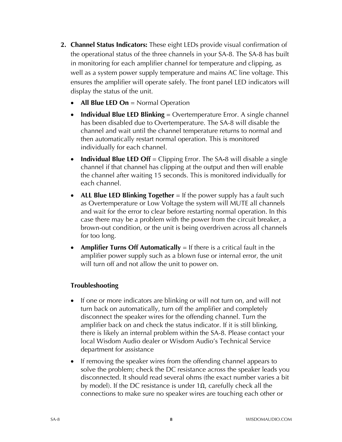- **2. Channel Status Indicators:** These eight LEDs provide visual confirmation of the operational status of the three channels in your SA-8. The SA-8 has built in monitoring for each amplifier channel for temperature and clipping, as well as a system power supply temperature and mains AC line voltage. This ensures the amplifier will operate safely. The front panel LED indicators will display the status of the unit.
	- **All Blue LED On** = Normal Operation
	- **Individual Blue LED Blinking** = Overtemperature Error. A single channel has been disabled due to Overtemperature. The SA-8 will disable the channel and wait until the channel temperature returns to normal and then automatically restart normal operation. This is monitored individually for each channel.
	- **Individual Blue LED Off** = Clipping Error. The SA**-**8 will disable a single channel if that channel has clipping at the output and then will enable the channel after waiting 15 seconds. This is monitored individually for each channel.
	- **ALL Blue LED Blinking Together** = If the power supply has a fault such as Overtemperature or Low Voltage the system will MUTE all channels and wait for the error to clear before restarting normal operation. In this case there may be a problem with the power from the circuit breaker, a brown-out condition, or the unit is being overdriven across all channels for too long.
	- **Amplifier Turns Off Automatically** = If there is a critical fault in the amplifier power supply such as a blown fuse or internal error, the unit will turn off and not allow the unit to power on.

#### **Troubleshooting**

- If one or more indicators are blinking or will not turn on, and will not turn back on automatically, turn off the amplifier and completely disconnect the speaker wires for the offending channel. Turn the amplifier back on and check the status indicator. If it is still blinking, there is likely an internal problem within the SA-8. Please contact your local Wisdom Audio dealer or Wisdom Audio's Technical Service department for assistance
- If removing the speaker wires from the offending channel appears to solve the problem; check the DC resistance across the speaker leads you disconnected. It should read several ohms (the exact number varies a bit by model). If the DC resistance is under 1Ω, carefully check all the connections to make sure no speaker wires are touching each other or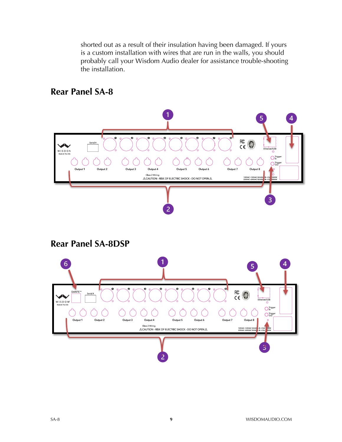shorted out as a result of their insulation having been damaged. If yours is a custom installation with wires that are run in the walls, you should probably call your Wisdom Audio dealer for assistance trouble-shooting the installation.



### **Rear Panel SA-8**

**Rear Panel SA-8DSP**

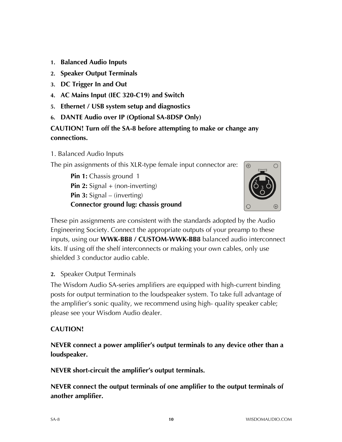- **1. Balanced Audio Inputs**
- **2. Speaker Output Terminals**
- **3. DC Trigger In and Out**
- **4. AC Mains Input (IEC 320-C19) and Switch**
- **5. Ethernet / USB system setup and diagnostics**
- **6. DANTE Audio over IP (Optional SA-8DSP Only)**

### **CAUTION! Turn off the SA-8 before attempting to make or change any connections.**

1. Balanced Audio Inputs

The pin assignments of this XLR-type female input connector are:

**Pin 1:** Chassis ground 1 **Pin 2:** Signal + (non-inverting) **Pin 3:** Signal – (inverting) **Connector ground lug: chassis ground**



These pin assignments are consistent with the standards adopted by the Audio Engineering Society. Connect the appropriate outputs of your preamp to these inputs, using our **WWK-BB8 / CUSTOM-WWK-BB8** balanced audio interconnect kits. If using off the shelf interconnects or making your own cables, only use shielded 3 conductor audio cable.

**2.** Speaker Output Terminals

The Wisdom Audio SA-series amplifiers are equipped with high-current binding posts for output termination to the loudspeaker system. To take full advantage of the amplifier's sonic quality, we recommend using high- quality speaker cable; please see your Wisdom Audio dealer.

#### **CAUTION!**

**NEVER connect a power amplifier's output terminals to any device other than a loudspeaker.**

**NEVER short-circuit the amplifier's output terminals.**

**NEVER connect the output terminals of one amplifier to the output terminals of another amplifier.**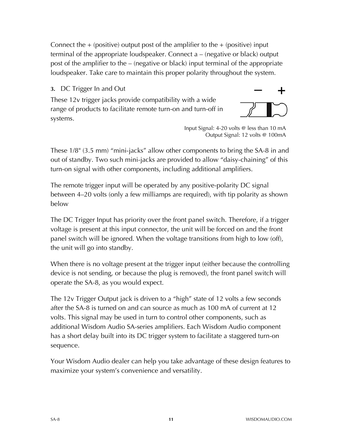Connect the  $+$  (positive) output post of the amplifier to the  $+$  (positive) input terminal of the appropriate loudspeaker. Connect a – (negative or black) output post of the amplifier to the – (negative or black) input terminal of the appropriate loudspeaker. Take care to maintain this proper polarity throughout the system.

### **3.** DC Trigger In and Out

These 12v trigger jacks provide compatibility with a wide range of products to facilitate remote turn-on and turn-off in systems.



Input Signal: 4-20 volts @ less than 10 mA Output Signal: 12 volts @ 100mA

These 1/8" (3.5 mm) "mini-jacks" allow other components to bring the SA-8 in and out of standby. Two such mini-jacks are provided to allow "daisy-chaining" of this turn-on signal with other components, including additional amplifiers.

The remote trigger input will be operated by any positive-polarity DC signal between 4–20 volts (only a few milliamps are required), with tip polarity as shown below

The DC Trigger Input has priority over the front panel switch. Therefore, if a trigger voltage is present at this input connector, the unit will be forced on and the front panel switch will be ignored. When the voltage transitions from high to low (off), the unit will go into standby.

When there is no voltage present at the trigger input (either because the controlling device is not sending, or because the plug is removed), the front panel switch will operate the SA-8, as you would expect.

The 12v Trigger Output jack is driven to a "high" state of 12 volts a few seconds after the SA-8 is turned on and can source as much as 100 mA of current at 12 volts. This signal may be used in turn to control other components, such as additional Wisdom Audio SA-series amplifiers. Each Wisdom Audio component has a short delay built into its DC trigger system to facilitate a staggered turn-on sequence.

Your Wisdom Audio dealer can help you take advantage of these design features to maximize your system's convenience and versatility.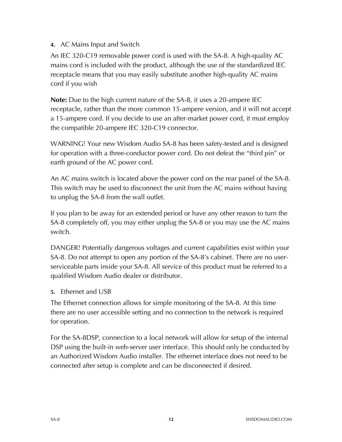### **4.** AC Mains Input and Switch

An IEC 320-C19 removable power cord is used with the SA-8. A high-quality AC mains cord is included with the product, although the use of the standardized IEC receptacle means that you may easily substitute another high-quality AC mains cord if you wish

**Note:** Due to the high current nature of the SA-8, it uses a 20-ampere IEC receptacle, rather than the more common 15-ampere version, and it will not accept a 15-ampere cord. If you decide to use an after-market power cord, it must employ the compatible 20-ampere IEC 320-C19 connector.

WARNING! Your new Wisdom Audio SA-8 has been safety-tested and is designed for operation with a three-conductor power cord. Do not defeat the "third pin" or earth ground of the AC power cord.

An AC mains switch is located above the power cord on the rear panel of the SA-8. This switch may be used to disconnect the unit from the AC mains without having to unplug the SA-8 from the wall outlet.

If you plan to be away for an extended period or have any other reason to turn the SA-8 completely off, you may either unplug the SA-8 or you may use the AC mains switch.

DANGER! Potentially dangerous voltages and current capabilities exist within your SA-8. Do not attempt to open any portion of the SA-8's cabinet. There are no userserviceable parts inside your SA-8. All service of this product must be referred to a qualified Wisdom Audio dealer or distributor.

### **5.** Ethernet and USB

The Ethernet connection allows for simple monitoring of the SA-8. At this time there are no user accessible setting and no connection to the network is required for operation.

For the SA-8DSP, connection to a local network will allow for setup of the internal DSP using the built-in web-server user interface. This should only be conducted by an Authorized Wisdom Audio installer. The ethernet interface does not need to be connected after setup is complete and can be disconnected if desired.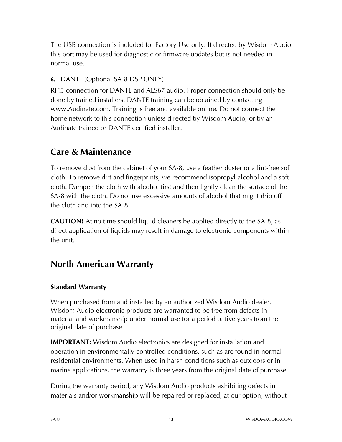The USB connection is included for Factory Use only. If directed by Wisdom Audio this port may be used for diagnostic or firmware updates but is not needed in normal use.

### **6.** DANTE (Optional SA-8 DSP ONLY)

RJ45 connection for DANTE and AES67 audio. Proper connection should only be done by trained installers. DANTE training can be obtained by contacting www.Audinate.com. Training is free and available online. Do not connect the home network to this connection unless directed by Wisdom Audio, or by an Audinate trained or DANTE certified installer.

## **Care & Maintenance**

To remove dust from the cabinet of your SA-8, use a feather duster or a lint-free soft cloth. To remove dirt and fingerprints, we recommend isopropyl alcohol and a soft cloth. Dampen the cloth with alcohol first and then lightly clean the surface of the SA-8 with the cloth. Do not use excessive amounts of alcohol that might drip off the cloth and into the SA-8.

**CAUTION!** At no time should liquid cleaners be applied directly to the SA-8, as direct application of liquids may result in damage to electronic components within the unit.

# **North American Warranty**

### **Standard Warranty**

When purchased from and installed by an authorized Wisdom Audio dealer, Wisdom Audio electronic products are warranted to be free from defects in material and workmanship under normal use for a period of five years from the original date of purchase.

**IMPORTANT:** Wisdom Audio electronics are designed for installation and operation in environmentally controlled conditions, such as are found in normal residential environments. When used in harsh conditions such as outdoors or in marine applications, the warranty is three years from the original date of purchase.

During the warranty period, any Wisdom Audio products exhibiting defects in materials and/or workmanship will be repaired or replaced, at our option, without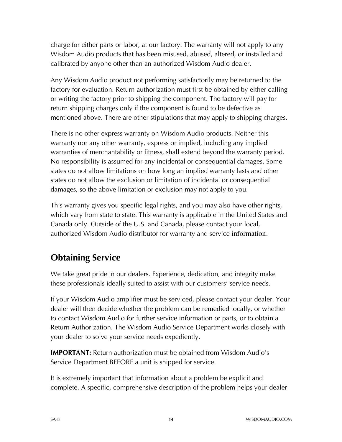charge for either parts or labor, at our factory. The warranty will not apply to any Wisdom Audio products that has been misused, abused, altered, or installed and calibrated by anyone other than an authorized Wisdom Audio dealer.

Any Wisdom Audio product not performing satisfactorily may be returned to the factory for evaluation. Return authorization must first be obtained by either calling or writing the factory prior to shipping the component. The factory will pay for return shipping charges only if the component is found to be defective as mentioned above. There are other stipulations that may apply to shipping charges.

There is no other express warranty on Wisdom Audio products. Neither this warranty nor any other warranty, express or implied, including any implied warranties of merchantability or fitness, shall extend beyond the warranty period. No responsibility is assumed for any incidental or consequential damages. Some states do not allow limitations on how long an implied warranty lasts and other states do not allow the exclusion or limitation of incidental or consequential damages, so the above limitation or exclusion may not apply to you.

This warranty gives you specific legal rights, and you may also have other rights, which vary from state to state. This warranty is applicable in the United States and Canada only. Outside of the U.S. and Canada, please contact your local, authorized Wisdom Audio distributor for warranty and service information.

# **Obtaining Service**

We take great pride in our dealers. Experience, dedication, and integrity make these professionals ideally suited to assist with our customers' service needs.

If your Wisdom Audio amplifier must be serviced, please contact your dealer. Your dealer will then decide whether the problem can be remedied locally, or whether to contact Wisdom Audio for further service information or parts, or to obtain a Return Authorization. The Wisdom Audio Service Department works closely with your dealer to solve your service needs expediently.

**IMPORTANT:** Return authorization must be obtained from Wisdom Audio's Service Department BEFORE a unit is shipped for service.

It is extremely important that information about a problem be explicit and complete. A specific, comprehensive description of the problem helps your dealer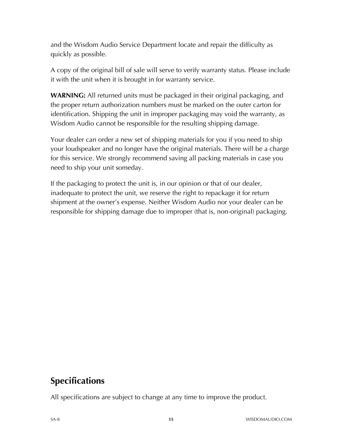and the Wisdom Audio Service Department locate and repair the difficulty as quickly as possible.

A copy of the original bill of sale will serve to verify warranty status. Please include it with the unit when it is brought in for warranty service.

**WARNING:** All returned units must be packaged in their original packaging, and the proper return authorization numbers must be marked on the outer carton for identification. Shipping the unit in improper packaging may void the warranty, as Wisdom Audio cannot be responsible for the resulting shipping damage.

Your dealer can order a new set of shipping materials for you if you need to ship your loudspeaker and no longer have the original materials. There will be a charge for this service. We strongly recommend saving all packing materials in case you need to ship your unit someday.

If the packaging to protect the unit is, in our opinion or that of our dealer, inadequate to protect the unit, we reserve the right to repackage it for return shipment at the owner's expense. Neither Wisdom Audio nor your dealer can be responsible for shipping damage due to improper (that is, non-original) packaging.

## **Specifications**

All specifications are subject to change at any time to improve the product.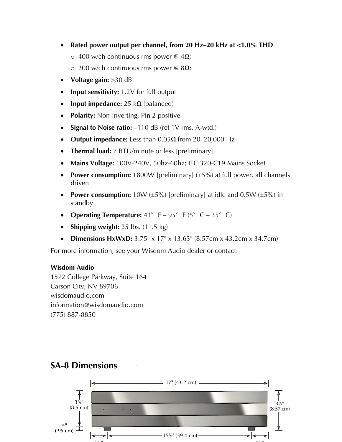- **Rated power output per channel, from 20 Hz–20 kHz at <1.0% THD**
	- o 400 w/ch continuous rms power @ 4Ω;
	- o 200 w/ch continuous rms power @ 8Ω;
- **Voltage gain:** >30 dB
- **Input sensitivity:** 1.2V for full output
- **Input impedance:** 25 kΩ (balanced)
- **Polarity:** Non-inverting, Pin 2 positive
- **Signal to Noise ratio:** –110 dB (ref 1V rms, A-wtd.)
- **Output impedance:** Less than 0.05Ω from 20–20,000 Hz
- **Thermal load:** 7 BTU/minute or less [preliminary]
- **Mains Voltage:** 100V-240V, 50hz-60hz; IEC 320-C19 Mains Socket
- **Power consumption:** 1800W [preliminary] (±5%) at full power, all channels driven
- **Power consumption:**  $10W (\pm 5\%)$  [preliminary] at idle and  $0.5W (\pm 5\%)$  in standby
- **Operating Temperature:**  $41^\circ$  F  $95^\circ$  F ( $5^\circ$  C  $35^\circ$  C)
- **Shipping weight:** 25 lbs. (11.5 kg)
- **Dimensions HxWxD:** 3.75" x 17" x 13.63" (8.57cm x 43.2cm x 34.7cm)

For more information, see your Wisdom Audio dealer or contact:

#### **Wisdom Audio**

1572 College Parkway, Suite 164 Carson City, NV 89706 wisdomaudio.com information@wisdomaudio.com (775) 887-8850



## **SA-8 Dimensions**